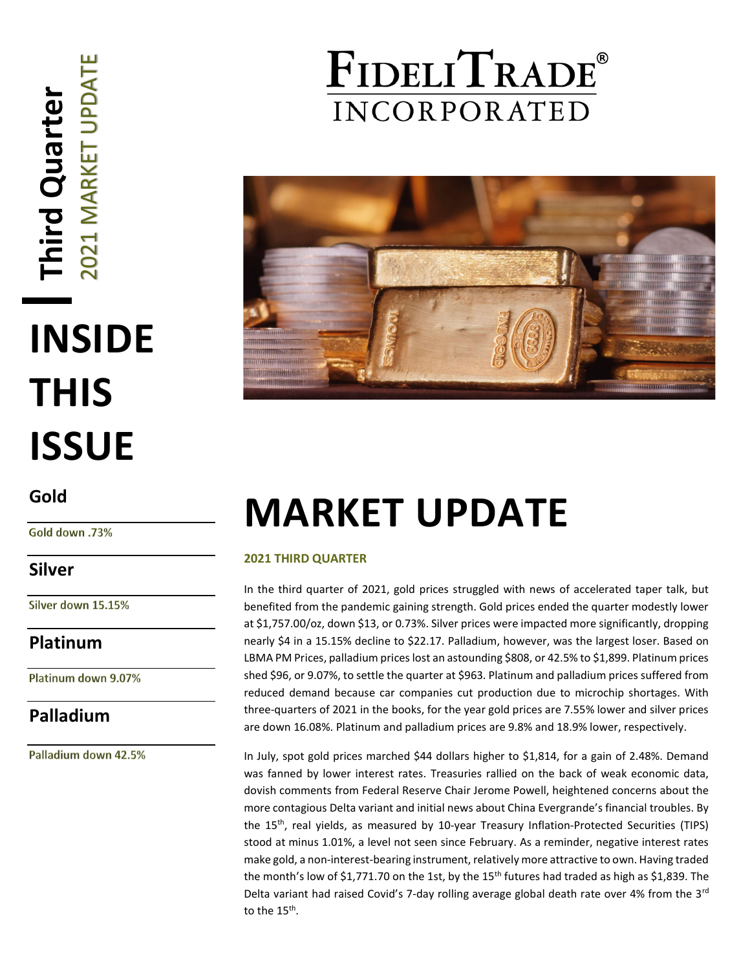# Third Quarter<br>2021 MARKET UPDATE INSIDE THIS ISSUE

### Gold

Gold down .73%

### Silver

Silver down 15.15%

Platinum

Platinum down 9.07%

### Palladium

Palladium down 42.5%

### FIDELITRADE® **INCORPORATED**



## MARKET UPDATE

### 2021 THIRD QUARTER

In the third quarter of 2021, gold prices struggled with news of accelerated taper talk, but benefited from the pandemic gaining strength. Gold prices ended the quarter modestly lower at \$1,757.00/oz, down \$13, or 0.73%. Silver prices were impacted more significantly, dropping nearly \$4 in a 15.15% decline to \$22.17. Palladium, however, was the largest loser. Based on LBMA PM Prices, palladium prices lost an astounding \$808, or 42.5% to \$1,899. Platinum prices shed \$96, or 9.07%, to settle the quarter at \$963. Platinum and palladium prices suffered from reduced demand because car companies cut production due to microchip shortages. With three-quarters of 2021 in the books, for the year gold prices are 7.55% lower and silver prices are down 16.08%. Platinum and palladium prices are 9.8% and 18.9% lower, respectively.

In July, spot gold prices marched \$44 dollars higher to \$1,814, for a gain of 2.48%. Demand was fanned by lower interest rates. Treasuries rallied on the back of weak economic data, dovish comments from Federal Reserve Chair Jerome Powell, heightened concerns about the more contagious Delta variant and initial news about China Evergrande's financial troubles. By the 15th, real yields, as measured by 10-year Treasury Inflation-Protected Securities (TIPS) stood at minus 1.01%, a level not seen since February. As a reminder, negative interest rates make gold, a non-interest-bearing instrument, relatively more attractive to own. Having traded the month's low of \$1,771.70 on the 1st, by the 15<sup>th</sup> futures had traded as high as \$1,839. The Delta variant had raised Covid's 7-day rolling average global death rate over 4% from the 3<sup>rd</sup> to the 15<sup>th</sup>.